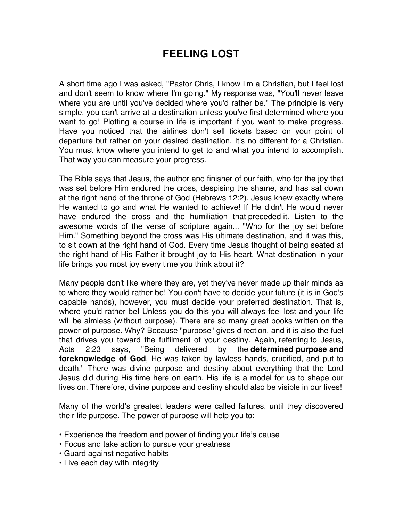## **FEELING LOST**

A short time ago I was asked, "Pastor Chris, I know I'm a Christian, but I feel lost and don't seem to know where I'm going." My response was, "You'll never leave where you are until you've decided where you'd rather be." The principle is very simple, you can't arrive at a destination unless you've first determined where you want to go! Plotting a course in life is important if you want to make progress. Have you noticed that the airlines don't sell tickets based on your point of departure but rather on your desired destination. It's no different for a Christian. You must know where you intend to get to and what you intend to accomplish. That way you can measure your progress.

The Bible says that Jesus, the author and finisher of our faith, who for the joy that was set before Him endured the cross, despising the shame, and has sat down at the right hand of the throne of God (Hebrews 12:2). Jesus knew exactly where He wanted to go and what He wanted to achieve! If He didn't He would never have endured the cross and the humiliation that preceded it. Listen to the awesome words of the verse of scripture again... "Who for the joy set before Him." Something beyond the cross was His ultimate destination, and it was this, to sit down at the right hand of God. Every time Jesus thought of being seated at the right hand of His Father it brought joy to His heart. What destination in your life brings you most joy every time you think about it?

Many people don't like where they are, yet they've never made up their minds as to where they would rather be! You don't have to decide your future (it is in God's capable hands), however, you must decide your preferred destination. That is, where you'd rather be! Unless you do this you will always feel lost and your life will be aimless (without purpose). There are so many great books written on the power of purpose. Why? Because "purpose" gives direction, and it is also the fuel that drives you toward the fulfilment of your destiny. Again, referring to Jesus, Acts 2:23 says, "Being delivered by the **determined purpose and foreknowledge of God**, He was taken by lawless hands, crucified, and put to death." There was divine purpose and destiny about everything that the Lord Jesus did during His time here on earth. His life is a model for us to shape our lives on. Therefore, divine purpose and destiny should also be visible in our lives!

Many of the world's greatest leaders were called failures, until they discovered their life purpose. The power of purpose will help you to:

- Experience the freedom and power of finding your life's cause
- Focus and take action to pursue your greatness
- Guard against negative habits
- Live each day with integrity